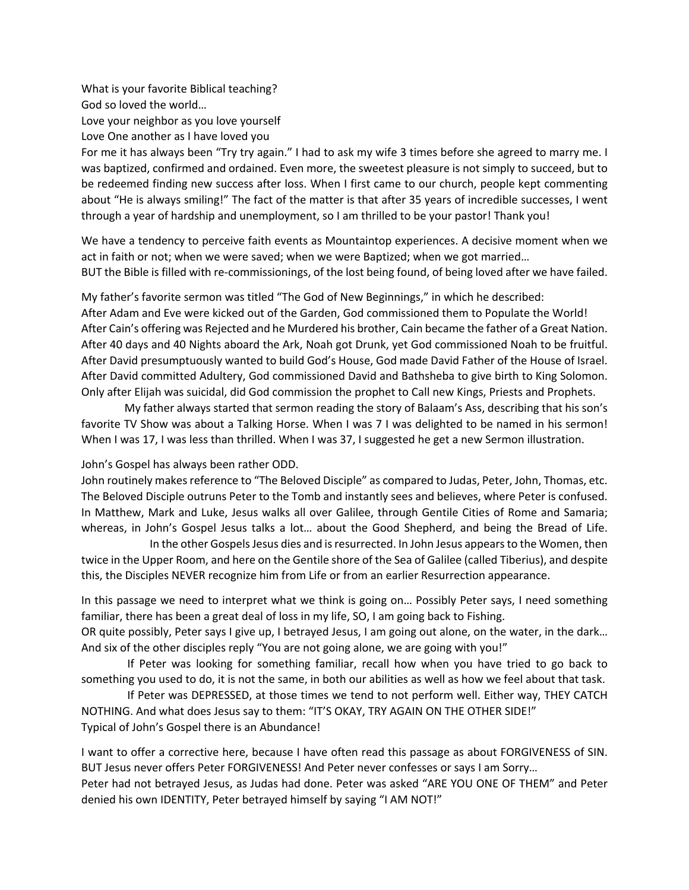What is your favorite Biblical teaching? God so loved the world…

Love your neighbor as you love yourself

Love One another as I have loved you

For me it has always been "Try try again." I had to ask my wife 3 times before she agreed to marry me. I was baptized, confirmed and ordained. Even more, the sweetest pleasure is not simply to succeed, but to be redeemed finding new success after loss. When I first came to our church, people kept commenting about "He is always smiling!" The fact of the matter is that after 35 years of incredible successes, I went through a year of hardship and unemployment, so I am thrilled to be your pastor! Thank you!

We have a tendency to perceive faith events as Mountaintop experiences. A decisive moment when we act in faith or not; when we were saved; when we were Baptized; when we got married… BUT the Bible is filled with re-commissionings, of the lost being found, of being loved after we have failed.

My father's favorite sermon was titled "The God of New Beginnings," in which he described: After Adam and Eve were kicked out of the Garden, God commissioned them to Populate the World! After Cain's offering was Rejected and he Murdered his brother, Cain became the father of a Great Nation. After 40 days and 40 Nights aboard the Ark, Noah got Drunk, yet God commissioned Noah to be fruitful. After David presumptuously wanted to build God's House, God made David Father of the House of Israel. After David committed Adultery, God commissioned David and Bathsheba to give birth to King Solomon. Only after Elijah was suicidal, did God commission the prophet to Call new Kings, Priests and Prophets.

My father always started that sermon reading the story of Balaam's Ass, describing that his son's favorite TV Show was about a Talking Horse. When I was 7 I was delighted to be named in his sermon! When I was 17, I was less than thrilled. When I was 37, I suggested he get a new Sermon illustration.

## John's Gospel has always been rather ODD.

John routinely makes reference to "The Beloved Disciple" as compared to Judas, Peter, John, Thomas, etc. The Beloved Disciple outruns Peter to the Tomb and instantly sees and believes, where Peter is confused. In Matthew, Mark and Luke, Jesus walks all over Galilee, through Gentile Cities of Rome and Samaria; whereas, in John's Gospel Jesus talks a lot… about the Good Shepherd, and being the Bread of Life.

 In the other Gospels Jesus dies and is resurrected. In John Jesus appears to the Women, then twice in the Upper Room, and here on the Gentile shore of the Sea of Galilee (called Tiberius), and despite this, the Disciples NEVER recognize him from Life or from an earlier Resurrection appearance.

In this passage we need to interpret what we think is going on… Possibly Peter says, I need something familiar, there has been a great deal of loss in my life, SO, I am going back to Fishing.

OR quite possibly, Peter says I give up, I betrayed Jesus, I am going out alone, on the water, in the dark… And six of the other disciples reply "You are not going alone, we are going with you!"

 If Peter was looking for something familiar, recall how when you have tried to go back to something you used to do, it is not the same, in both our abilities as well as how we feel about that task.

 If Peter was DEPRESSED, at those times we tend to not perform well. Either way, THEY CATCH NOTHING. And what does Jesus say to them: "IT'S OKAY, TRY AGAIN ON THE OTHER SIDE!" Typical of John's Gospel there is an Abundance!

I want to offer a corrective here, because I have often read this passage as about FORGIVENESS of SIN. BUT Jesus never offers Peter FORGIVENESS! And Peter never confesses or says I am Sorry… Peter had not betrayed Jesus, as Judas had done. Peter was asked "ARE YOU ONE OF THEM" and Peter

denied his own IDENTITY, Peter betrayed himself by saying "I AM NOT!"